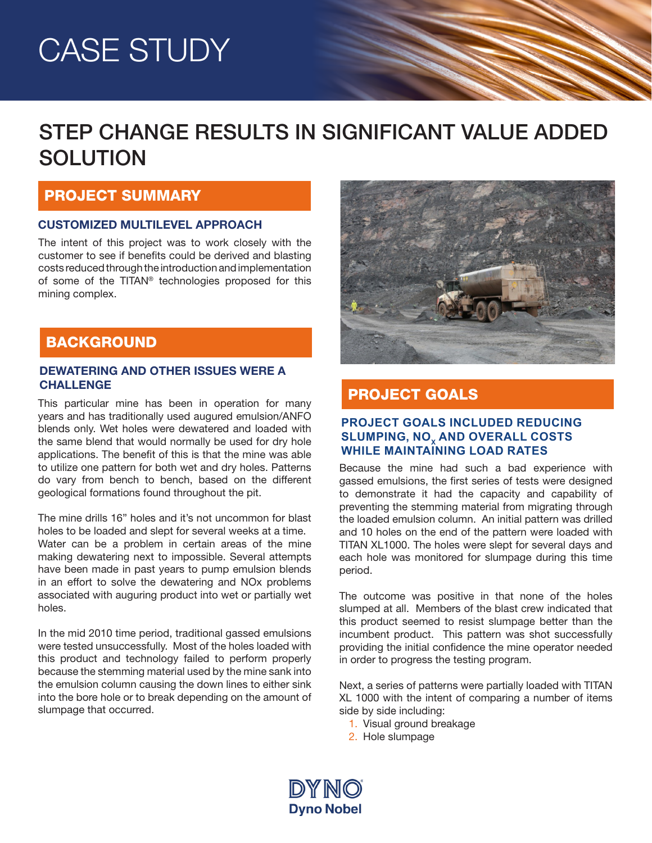# CASE STUDY

### STEP CHANGE RESULTS IN SIGNIFICANT VALUE ADDED **SOLUTION**

#### PROJECT SUMMARY

#### CUSTOMIZED MULTILEVEL APPROACH

The intent of this project was to work closely with the customer to see if benefits could be derived and blasting costs reduced through the introduction and implementation of some of the TITAN® technologies proposed for this mining complex.

#### **BACKGROUND**

### DEWATERING AND OTHER ISSUES WERE A **CHALLENGE PROJECT GOALS**

This particular mine has been in operation for many years and has traditionally used augured emulsion/ANFO blends only. Wet holes were dewatered and loaded with the same blend that would normally be used for dry hole applications. The benefit of this is that the mine was able to utilize one pattern for both wet and dry holes. Patterns do vary from bench to bench, based on the different geological formations found throughout the pit.

The mine drills 16" holes and it's not uncommon for blast holes to be loaded and slept for several weeks at a time.

Water can be a problem in certain areas of the mine making dewatering next to impossible. Several attempts have been made in past years to pump emulsion blends in an effort to solve the dewatering and NOx problems associated with auguring product into wet or partially wet holes.

In the mid 2010 time period, traditional gassed emulsions were tested unsuccessfully. Most of the holes loaded with this product and technology failed to perform properly because the stemming material used by the mine sank into the emulsion column causing the down lines to either sink into the bore hole or to break depending on the amount of slumpage that occurred.



#### **PROJECT GOALS INCLUDED REDUCING SLUMPING, NO. AND OVERALL COSTS WHILE MAINTAINING LOAD RATES**

Because the mine had such a bad experience with gassed emulsions, the first series of tests were designed to demonstrate it had the capacity and capability of preventing the stemming material from migrating through the loaded emulsion column. An initial pattern was drilled and 10 holes on the end of the pattern were loaded with TITAN XL1000. The holes were slept for several days and each hole was monitored for slumpage during this time period.

The outcome was positive in that none of the holes slumped at all. Members of the blast crew indicated that this product seemed to resist slumpage better than the incumbent product. This pattern was shot successfully providing the initial confidence the mine operator needed in order to progress the testing program.

Next, a series of patterns were partially loaded with TITAN XL 1000 with the intent of comparing a number of items side by side including:

- 1. Visual ground breakage
- 2. Hole slumpage